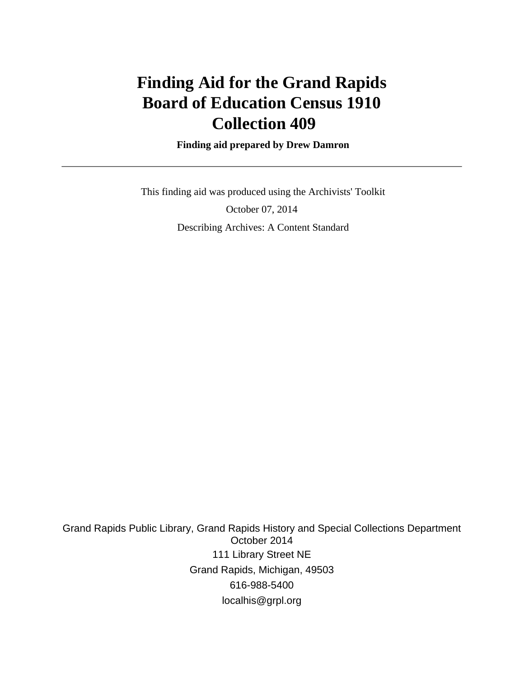# **Finding Aid for the Grand Rapids Board of Education Census 1910 Collection 409**

 **Finding aid prepared by Drew Damron**

 This finding aid was produced using the Archivists' Toolkit October 07, 2014 Describing Archives: A Content Standard

Grand Rapids Public Library, Grand Rapids History and Special Collections Department October 2014 111 Library Street NE Grand Rapids, Michigan, 49503 616-988-5400 localhis@grpl.org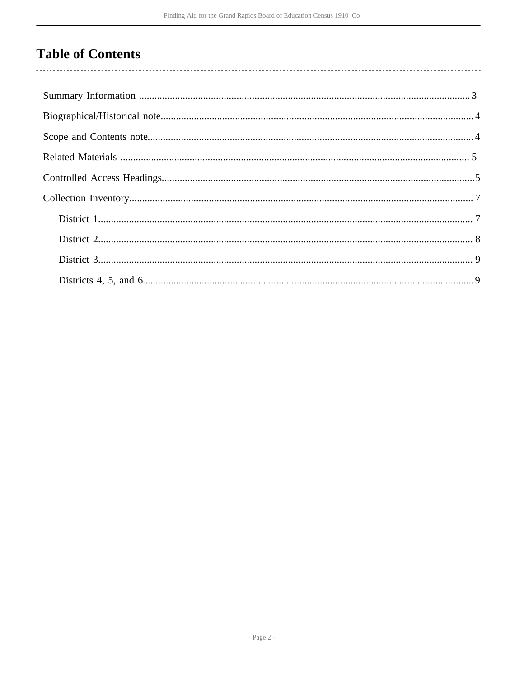## **Table of Contents**

 $\overline{\phantom{a}}$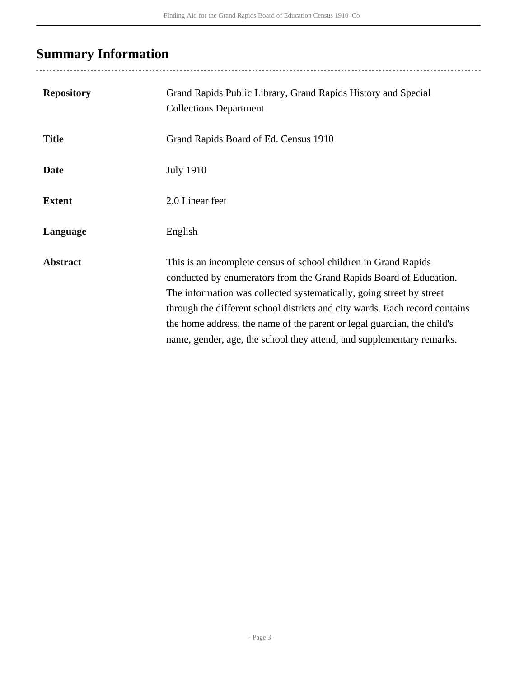# <span id="page-2-0"></span>**Summary Information**

| <b>Repository</b> | Grand Rapids Public Library, Grand Rapids History and Special<br><b>Collections Department</b>                                                                                                                                                                                                                                                                                                                                                   |
|-------------------|--------------------------------------------------------------------------------------------------------------------------------------------------------------------------------------------------------------------------------------------------------------------------------------------------------------------------------------------------------------------------------------------------------------------------------------------------|
| <b>Title</b>      | Grand Rapids Board of Ed. Census 1910                                                                                                                                                                                                                                                                                                                                                                                                            |
| <b>Date</b>       | <b>July 1910</b>                                                                                                                                                                                                                                                                                                                                                                                                                                 |
| <b>Extent</b>     | 2.0 Linear feet                                                                                                                                                                                                                                                                                                                                                                                                                                  |
| Language          | English                                                                                                                                                                                                                                                                                                                                                                                                                                          |
| <b>Abstract</b>   | This is an incomplete census of school children in Grand Rapids<br>conducted by enumerators from the Grand Rapids Board of Education.<br>The information was collected systematically, going street by street<br>through the different school districts and city wards. Each record contains<br>the home address, the name of the parent or legal guardian, the child's<br>name, gender, age, the school they attend, and supplementary remarks. |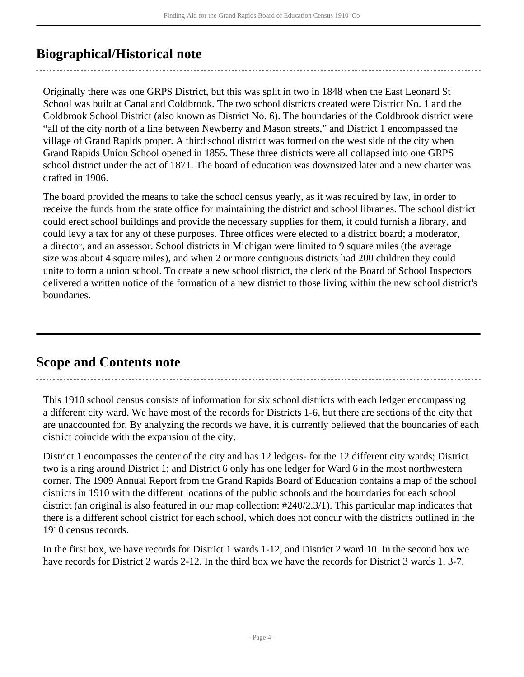## <span id="page-3-0"></span>**Biographical/Historical note**

Originally there was one GRPS District, but this was split in two in 1848 when the East Leonard St School was built at Canal and Coldbrook. The two school districts created were District No. 1 and the Coldbrook School District (also known as District No. 6). The boundaries of the Coldbrook district were "all of the city north of a line between Newberry and Mason streets," and District 1 encompassed the village of Grand Rapids proper. A third school district was formed on the west side of the city when Grand Rapids Union School opened in 1855. These three districts were all collapsed into one GRPS school district under the act of 1871. The board of education was downsized later and a new charter was drafted in 1906.

The board provided the means to take the school census yearly, as it was required by law, in order to receive the funds from the state office for maintaining the district and school libraries. The school district could erect school buildings and provide the necessary supplies for them, it could furnish a library, and could levy a tax for any of these purposes. Three offices were elected to a district board; a moderator, a director, and an assessor. School districts in Michigan were limited to 9 square miles (the average size was about 4 square miles), and when 2 or more contiguous districts had 200 children they could unite to form a union school. To create a new school district, the clerk of the Board of School Inspectors delivered a written notice of the formation of a new district to those living within the new school district's boundaries.

### <span id="page-3-1"></span>**Scope and Contents note**

This 1910 school census consists of information for six school districts with each ledger encompassing a different city ward. We have most of the records for Districts 1-6, but there are sections of the city that are unaccounted for. By analyzing the records we have, it is currently believed that the boundaries of each district coincide with the expansion of the city.

District 1 encompasses the center of the city and has 12 ledgers- for the 12 different city wards; District two is a ring around District 1; and District 6 only has one ledger for Ward 6 in the most northwestern corner. The 1909 Annual Report from the Grand Rapids Board of Education contains a map of the school districts in 1910 with the different locations of the public schools and the boundaries for each school district (an original is also featured in our map collection: #240/2.3/1). This particular map indicates that there is a different school district for each school, which does not concur with the districts outlined in the 1910 census records.

In the first box, we have records for District 1 wards 1-12, and District 2 ward 10. In the second box we have records for District 2 wards 2-12. In the third box we have the records for District 3 wards 1, 3-7,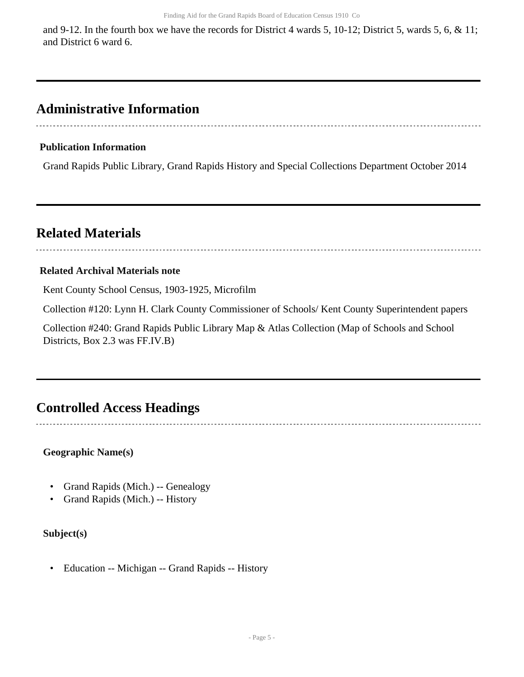and 9-12. In the fourth box we have the records for District 4 wards 5, 10-12; District 5, wards 5, 6, & 11; and District 6 ward 6.

### **Administrative Information**

#### **Publication Information**

Grand Rapids Public Library, Grand Rapids History and Special Collections Department October 2014

### <span id="page-4-0"></span>**Related Materials**

# 

#### **Related Archival Materials note**

Kent County School Census, 1903-1925, Microfilm

Collection #120: Lynn H. Clark County Commissioner of Schools/ Kent County Superintendent papers

Collection #240: Grand Rapids Public Library Map & Atlas Collection (Map of Schools and School Districts, Box 2.3 was FF.IV.B)

### <span id="page-4-1"></span>**Controlled Access Headings**

**Geographic Name(s)**

- Grand Rapids (Mich.) -- Genealogy
- Grand Rapids (Mich.) -- History

### **Subject(s)**

• Education -- Michigan -- Grand Rapids -- History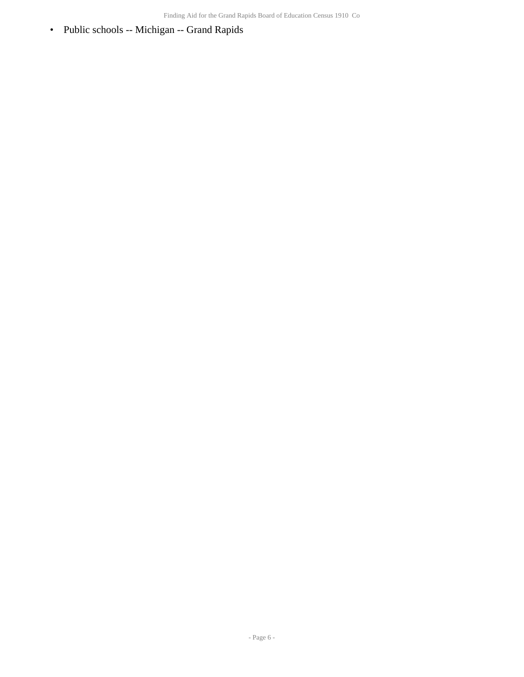• Public schools -- Michigan -- Grand Rapids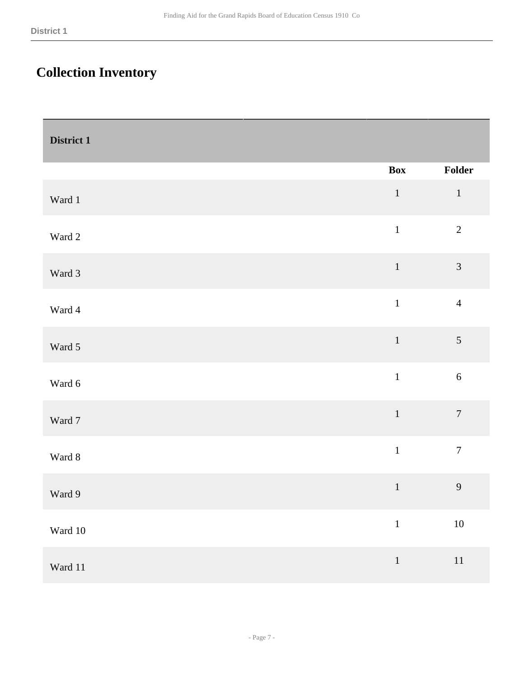## <span id="page-6-0"></span>**Collection Inventory**

<span id="page-6-1"></span>

| District 1  |                                                       |                  |
|-------------|-------------------------------------------------------|------------------|
|             | <b>Box</b>                                            | Folder           |
| Ward 1      | $\mathbf 1$                                           | $\,1\,$          |
| Ward 2      | $\mathbf{1}% ^{T}=\mathbf{1}_{T}\times\mathbf{1}_{T}$ | $\sqrt{2}$       |
| Ward 3      | $1\,$                                                 | $\mathfrak{Z}$   |
| Ward 4      | $\mathbf 1$                                           | $\overline{4}$   |
| Ward 5      | $\,1\,$                                               | 5                |
| Ward 6      | $\,1\,$                                               | $6\,$            |
| Ward 7      | $\,1\,$                                               | $\boldsymbol{7}$ |
| Ward 8      | $1\,$                                                 | $\boldsymbol{7}$ |
| Ward 9      | $\mathbf 1$                                           | 9                |
| Ward $10\,$ | $\mathbf{1}$                                          | $10\,$           |
| Ward $11\,$ | $\,1\,$                                               | $11\,$           |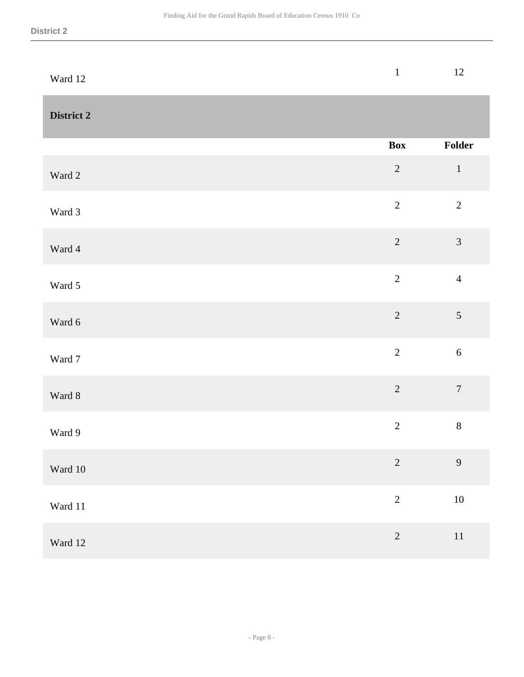<span id="page-7-0"></span>

| Ward 12           | $\mathbf{1}$   | $12\,$         |
|-------------------|----------------|----------------|
| <b>District 2</b> |                |                |
|                   | <b>Box</b>     | Folder         |
| Ward 2            | $\sqrt{2}$     | $1\,$          |
| Ward 3            | $\overline{2}$ | $\overline{2}$ |
| Ward 4            | $\overline{c}$ | $\mathfrak{Z}$ |
| Ward 5            | $\overline{2}$ | $\overline{4}$ |
| Ward 6            | $\overline{2}$ | 5              |
| Ward 7            | $\overline{2}$ | $\sqrt{6}$     |
| Ward 8            | $\overline{2}$ | $\overline{7}$ |
| Ward 9            | $\sqrt{2}$     | $8\,$          |
| Ward 10           | $\overline{c}$ | $\overline{9}$ |
| Ward 11           | $\overline{2}$ | $10\,$         |
| Ward 12           | $\overline{c}$ | $11\,$         |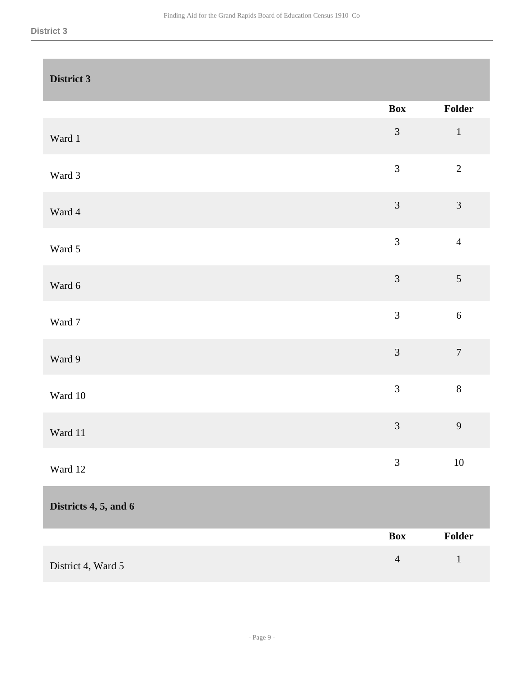<span id="page-8-1"></span><span id="page-8-0"></span>

| District 3            |                |                  |
|-----------------------|----------------|------------------|
|                       | <b>Box</b>     | Folder           |
| Ward 1                | $\mathfrak{Z}$ | $\,1\,$          |
| Ward 3                | $\mathfrak{Z}$ | $\overline{2}$   |
| Ward 4                | $\mathfrak{Z}$ | $\mathfrak{Z}$   |
| Ward 5                | $\overline{3}$ | $\overline{4}$   |
| Ward 6                | $\mathfrak{Z}$ | $\mathfrak{S}$   |
| Ward 7                | $\overline{3}$ | $\sqrt{6}$       |
| Ward 9                | $\mathfrak{Z}$ | $\boldsymbol{7}$ |
| Ward 10               | $\overline{3}$ | $8\,$            |
| Ward 11               | $\overline{3}$ | 9                |
| Ward 12               | $\mathfrak{Z}$ | $10\,$           |
| Districts 4, 5, and 6 |                |                  |
|                       | <b>Box</b>     | Folder           |
| District 4, Ward 5    | $\overline{4}$ | $\mathbf{1}$     |